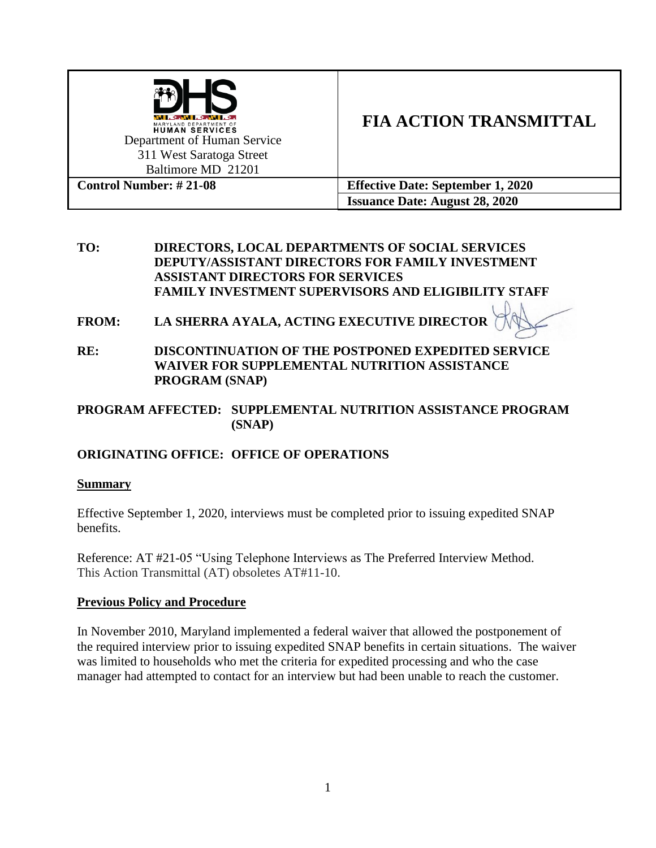

**TO: DIRECTORS, LOCAL DEPARTMENTS OF SOCIAL SERVICES DEPUTY/ASSISTANT DIRECTORS FOR FAMILY INVESTMENT ASSISTANT DIRECTORS FOR SERVICES FAMILY INVESTMENT SUPERVISORS AND ELIGIBILITY STAFF**

- **FROM: LA SHERRA AYALA, ACTING EXECUTIVE DIRECTOR**
- **RE: DISCONTINUATION OF THE POSTPONED EXPEDITED SERVICE WAIVER FOR SUPPLEMENTAL NUTRITION ASSISTANCE PROGRAM (SNAP)**

#### **PROGRAM AFFECTED: SUPPLEMENTAL NUTRITION ASSISTANCE PROGRAM (SNAP)**

## **ORIGINATING OFFICE: OFFICE OF OPERATIONS**

#### **Summary**

Effective September 1, 2020, interviews must be completed prior to issuing expedited SNAP benefits.

Reference: AT #21-05 "Using Telephone Interviews as The Preferred Interview Method. This Action Transmittal (AT) obsoletes AT#11-10.

#### **Previous Policy and Procedure**

In November 2010, Maryland implemented a federal waiver that allowed the postponement of the required interview prior to issuing expedited SNAP benefits in certain situations. The waiver was limited to households who met the criteria for expedited processing and who the case manager had attempted to contact for an interview but had been unable to reach the customer.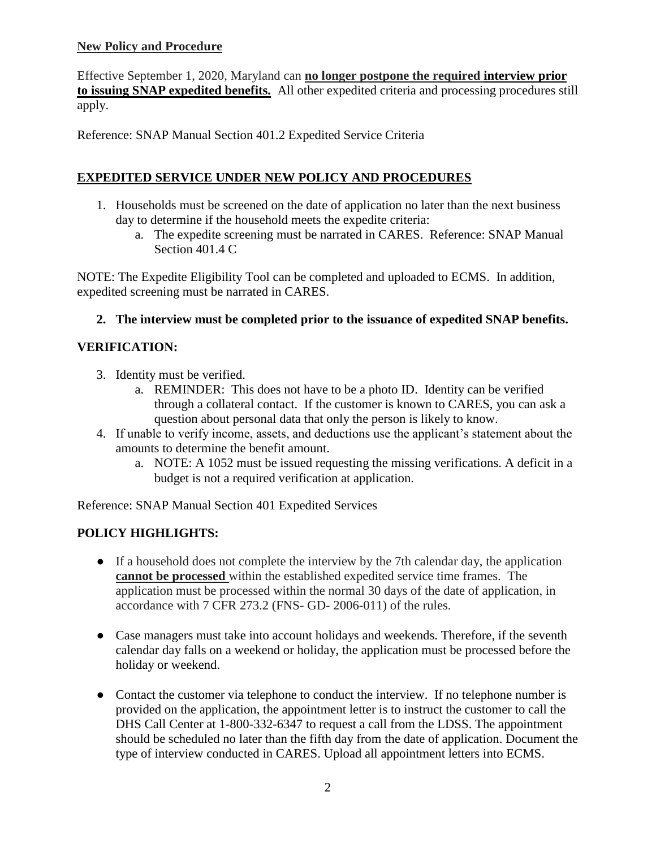## **New Policy and Procedure**

Effective September 1, 2020, Maryland can **no longer postpone the required interview prior to issuing SNAP expedited benefits.** All other expedited criteria and processing procedures still apply.

Reference: SNAP Manual Section 401.2 Expedited Service Criteria

## **EXPEDITED SERVICE UNDER NEW POLICY AND PROCEDURES**

- 1. Households must be screened on the date of application no later than the next business day to determine if the household meets the expedite criteria:
	- a. The expedite screening must be narrated in CARES. Reference: SNAP Manual Section 401.4 C

NOTE: The Expedite Eligibility Tool can be completed and uploaded to ECMS. In addition, expedited screening must be narrated in CARES.

## **2. The interview must be completed prior to the issuance of expedited SNAP benefits.**

## **VERIFICATION:**

- 3. Identity must be verified.
	- a. REMINDER: This does not have to be a photo ID. Identity can be verified through a collateral contact. If the customer is known to CARES, you can ask a question about personal data that only the person is likely to know.
- 4. If unable to verify income, assets, and deductions use the applicant's statement about the amounts to determine the benefit amount.
	- a. NOTE: A 1052 must be issued requesting the missing verifications. A deficit in a budget is not a required verification at application.

Reference: SNAP Manual Section 401 Expedited Services

## **POLICY HIGHLIGHTS:**

- If a household does not complete the interview by the 7th calendar day, the application **cannot be processed** within the established expedited service time frames. The application must be processed within the normal 30 days of the date of application, in accordance with 7 CFR 273.2 (FNS- GD- 2006-011) of the rules.
- Case managers must take into account holidays and weekends. Therefore, if the seventh calendar day falls on a weekend or holiday, the application must be processed before the holiday or weekend.
- Contact the customer via telephone to conduct the interview. If no telephone number is provided on the application, the appointment letter is to instruct the customer to call the DHS Call Center at 1-800-332-6347 to request a call from the LDSS. The appointment should be scheduled no later than the fifth day from the date of application. Document the type of interview conducted in CARES. Upload all appointment letters into ECMS.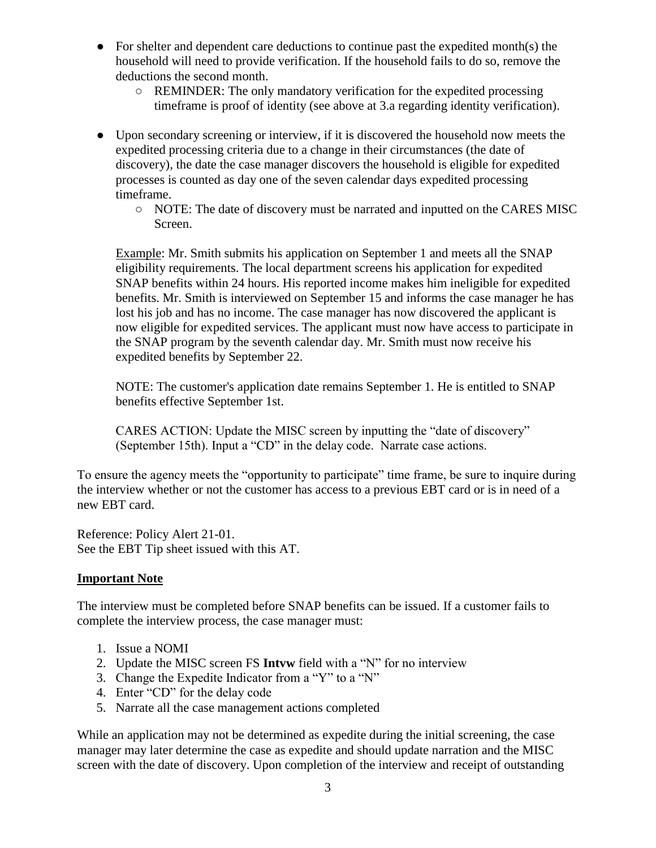- For shelter and dependent care deductions to continue past the expedited month(s) the household will need to provide verification. If the household fails to do so, remove the deductions the second month.
	- REMINDER: The only mandatory verification for the expedited processing timeframe is proof of identity (see above at 3.a regarding identity verification).
- Upon secondary screening or interview, if it is discovered the household now meets the expedited processing criteria due to a change in their circumstances (the date of discovery), the date the case manager discovers the household is eligible for expedited processes is counted as day one of the seven calendar days expedited processing timeframe.
	- NOTE: The date of discovery must be narrated and inputted on the CARES MISC Screen.

Example: Mr. Smith submits his application on September 1 and meets all the SNAP eligibility requirements. The local department screens his application for expedited SNAP benefits within 24 hours. His reported income makes him ineligible for expedited benefits. Mr. Smith is interviewed on September 15 and informs the case manager he has lost his job and has no income. The case manager has now discovered the applicant is now eligible for expedited services. The applicant must now have access to participate in the SNAP program by the seventh calendar day. Mr. Smith must now receive his expedited benefits by September 22.

NOTE: The customer's application date remains September 1. He is entitled to SNAP benefits effective September 1st.

CARES ACTION: Update the MISC screen by inputting the "date of discovery" (September 15th). Input a "CD" in the delay code. Narrate case actions.

To ensure the agency meets the "opportunity to participate" time frame, be sure to inquire during the interview whether or not the customer has access to a previous EBT card or is in need of a new EBT card.

Reference: Policy Alert 21-01. See the EBT Tip sheet issued with this AT.

## **Important Note**

The interview must be completed before SNAP benefits can be issued. If a customer fails to complete the interview process, the case manager must:

- 1. Issue a NOMI
- 2. Update the MISC screen FS **Intvw** field with a "N" for no interview
- 3. Change the Expedite Indicator from a "Y" to a "N"
- 4. Enter "CD" for the delay code
- 5. Narrate all the case management actions completed

While an application may not be determined as expedite during the initial screening, the case manager may later determine the case as expedite and should update narration and the MISC screen with the date of discovery. Upon completion of the interview and receipt of outstanding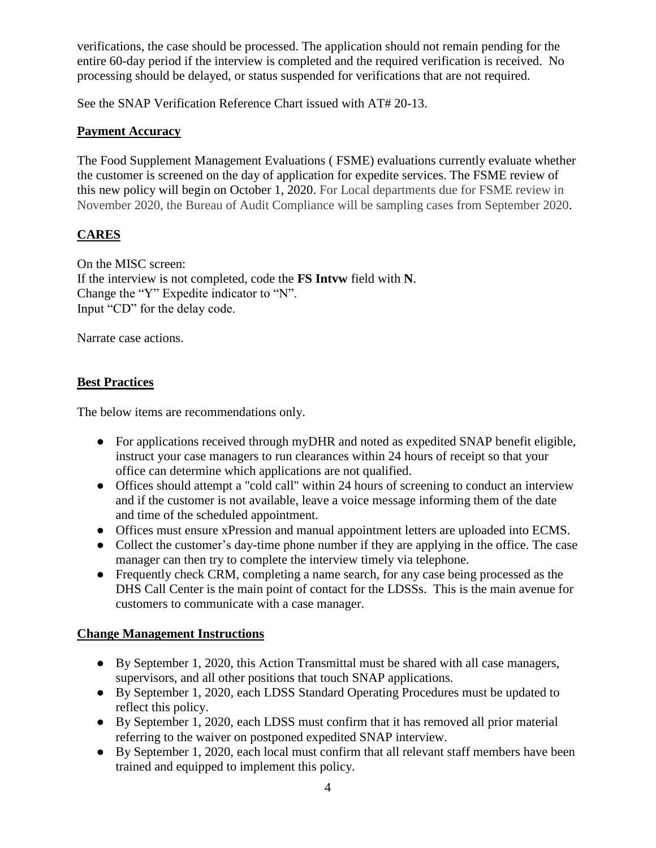verifications, the case should be processed. The application should not remain pending for the entire 60-day period if the interview is completed and the required verification is received. No processing should be delayed, or status suspended for verifications that are not required.

See the SNAP Verification Reference Chart issued with AT# 20-13.

## **Payment Accuracy**

The Food Supplement Management Evaluations ( FSME) evaluations currently evaluate whether the customer is screened on the day of application for expedite services. The FSME review of this new policy will begin on October 1, 2020. For Local departments due for FSME review in November 2020, the Bureau of Audit Compliance will be sampling cases from September 2020.

## **CARES**

On the MISC screen: If the interview is not completed, code the **FS Intvw** field with **N**. Change the "Y" Expedite indicator to "N". Input "CD" for the delay code.

Narrate case actions.

#### **Best Practices**

The below items are recommendations only.

- For applications received through myDHR and noted as expedited SNAP benefit eligible, instruct your case managers to run clearances within 24 hours of receipt so that your office can determine which applications are not qualified.
- Offices should attempt a "cold call" within 24 hours of screening to conduct an interview and if the customer is not available, leave a voice message informing them of the date and time of the scheduled appointment.
- Offices must ensure xPression and manual appointment letters are uploaded into ECMS.
- Collect the customer's day-time phone number if they are applying in the office. The case manager can then try to complete the interview timely via telephone.
- Frequently check CRM, completing a name search, for any case being processed as the DHS Call Center is the main point of contact for the LDSSs. This is the main avenue for customers to communicate with a case manager.

#### **Change Management Instructions**

- By September 1, 2020, this Action Transmittal must be shared with all case managers, supervisors, and all other positions that touch SNAP applications.
- By September 1, 2020, each LDSS Standard Operating Procedures must be updated to reflect this policy.
- By September 1, 2020, each LDSS must confirm that it has removed all prior material referring to the waiver on postponed expedited SNAP interview.
- By September 1, 2020, each local must confirm that all relevant staff members have been trained and equipped to implement this policy.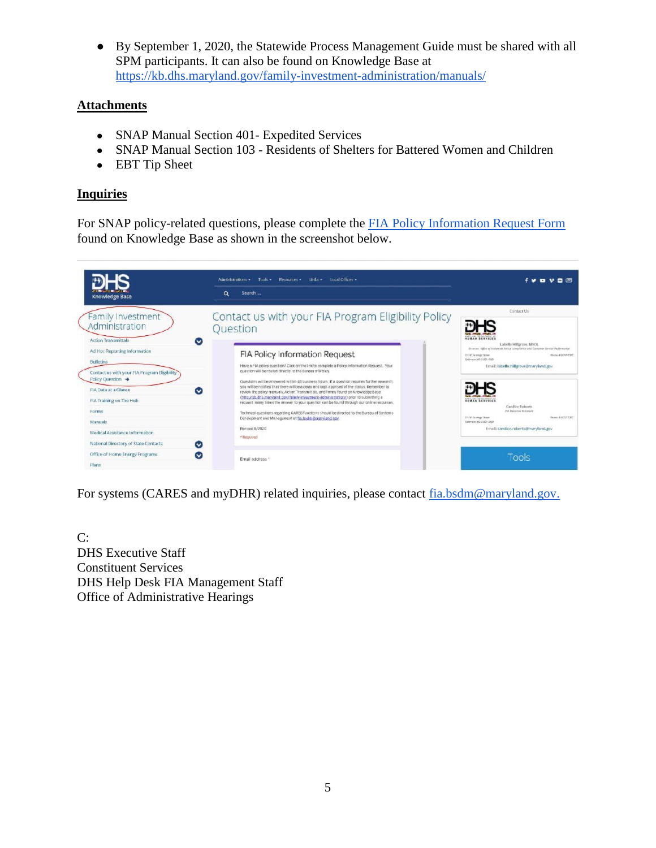● By September 1, 2020, the Statewide Process Management Guide must be shared with all SPM participants. It can also be found on Knowledge Base at <https://kb.dhs.maryland.gov/family-investment-administration/manuals/>

## **Attachments**

- SNAP Manual Section 401- Expedited Services
- SNAP Manual Section 103 Residents of Shelters for Battered Women and Children
- EBT Tip Sheet

## **Inquiries**

For SNAP policy-related questions, please complete the FIA Policy Information Request Form found on Knowledge Base as shown in the screenshot below.

| <b>Knowledge Base</b>                                                                                                                                                                             | Administrations · Tools · Resources · Links · Local Offices ·<br>$\alpha$<br>Search                                                                                                                                                                                                                                                                                                                                                                                                                                                                                                                                                                                            | $f \vee \Box \vee \Box$                                                                                                                                  |
|---------------------------------------------------------------------------------------------------------------------------------------------------------------------------------------------------|--------------------------------------------------------------------------------------------------------------------------------------------------------------------------------------------------------------------------------------------------------------------------------------------------------------------------------------------------------------------------------------------------------------------------------------------------------------------------------------------------------------------------------------------------------------------------------------------------------------------------------------------------------------------------------|----------------------------------------------------------------------------------------------------------------------------------------------------------|
| Family Investment<br>Administration<br><b>Action Transmittals</b><br>$\tilde{\phantom{a}}$                                                                                                        | Contact us with your FIA Program Eligibility Policy<br>Question                                                                                                                                                                                                                                                                                                                                                                                                                                                                                                                                                                                                                | Contact Us<br><b><i>HUMAN SERVICES</i></b><br>Labelle Hillgrove, MSOL<br>director, 198w of Insteads Policy Constitueis and Cattonie Service Performance  |
| Ad Hoc Reporting Information<br><b>Bulletins</b><br>Contact us with your FIA Program Eligibility<br>Policy Question $\rightarrow$<br>FIA Data at a Glance<br>$\bullet$<br>FIA Training on The Hub | <b>FIA Policy Information Request</b><br>Have a FIA policy question? Click on the link to complete a Policy Information Request. Your<br>question will be routed directly to the Bureau of Policy.<br>Questions will be answered within 48 business hours. If a question requires further research.<br>you will be notified that there will be a delay and kept apprised of the status. Remember to<br>review the policy manuals, Action Transmittals, and forms found on Knowledge Base<br>(http://kb.dhs.marviand.cov/family-investment-administration/) prior to submitting a<br>request; many times the answer to your question can be found through our online resources. | 211W.Seconge Street<br>From 416-705-7127<br>Gridney's MD 21301-2300<br>Email: labelle.hillgrove@maryland.gov<br><b>HUMAN SERVICES</b><br>Candice Roberts |
| Forms<br>Manuals<br>Medical Assistance Information<br>National Directory of State Contacts<br>$\sim$                                                                                              | Technical questions regarding CARES functions should be directed to the Bureau of Systems<br>Development and Management at fia bsdm @marviand.gov.<br>Revised B/2020<br>* Required                                                                                                                                                                                                                                                                                                                                                                                                                                                                                             | <b>Pirt Engrietive Assistance</b><br>113 W.Savviege Street<br>Phone: 416-761-7307<br>Baltimore MD 21201-2500<br>Email: candice.roberts@maryland.gov      |
| Office of Home Energy Programs<br>$\bullet$<br>Plans                                                                                                                                              | Email address *                                                                                                                                                                                                                                                                                                                                                                                                                                                                                                                                                                                                                                                                | Tools                                                                                                                                                    |

For systems (CARES and myDHR) related inquiries, please contact [fia.bsdm@maryland.gov.](mailto:fia.bsdm@maryland.gov)

 $C:$ DHS Executive Staff Constituent Services DHS Help Desk FIA Management Staff Office of Administrative Hearings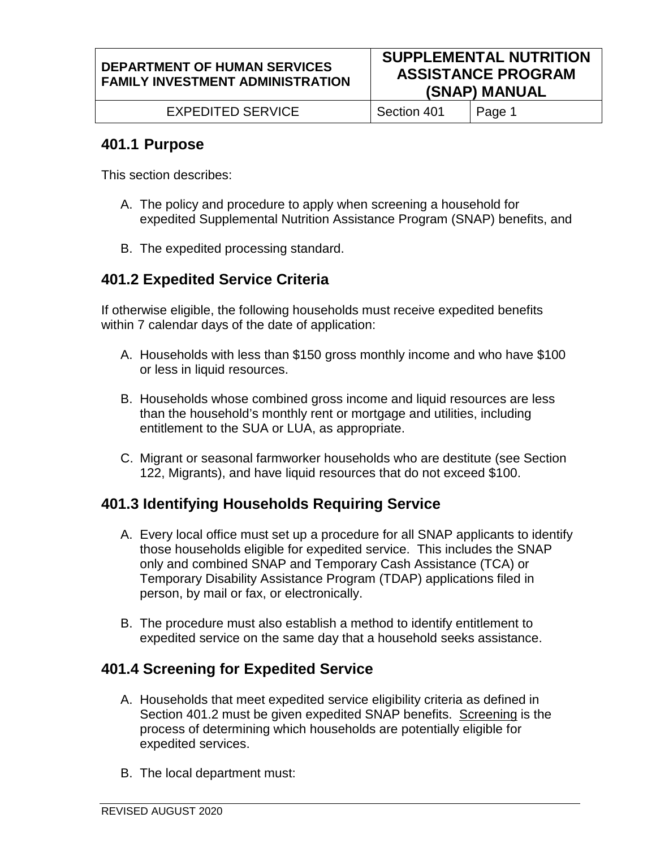EXPEDITED SERVICE | Section 401 | Page 1

# **401.1 Purpose**

This section describes:

- A. The policy and procedure to apply when screening a household for expedited Supplemental Nutrition Assistance Program (SNAP) benefits, and
- B. The expedited processing standard.

# **401.2 Expedited Service Criteria**

If otherwise eligible, the following households must receive expedited benefits within 7 calendar days of the date of application:

- A. Households with less than \$150 gross monthly income and who have \$100 or less in liquid resources.
- B. Households whose combined gross income and liquid resources are less than the household's monthly rent or mortgage and utilities, including entitlement to the SUA or LUA, as appropriate.
- C. Migrant or seasonal farmworker households who are destitute (see Section 122, Migrants), and have liquid resources that do not exceed \$100.

# **401.3 Identifying Households Requiring Service**

- A. Every local office must set up a procedure for all SNAP applicants to identify those households eligible for expedited service. This includes the SNAP only and combined SNAP and Temporary Cash Assistance (TCA) or Temporary Disability Assistance Program (TDAP) applications filed in person, by mail or fax, or electronically.
- B. The procedure must also establish a method to identify entitlement to expedited service on the same day that a household seeks assistance.

# **401.4 Screening for Expedited Service**

- A. Households that meet expedited service eligibility criteria as defined in Section 401.2 must be given expedited SNAP benefits. Screening is the process of determining which households are potentially eligible for expedited services.
- B. The local department must: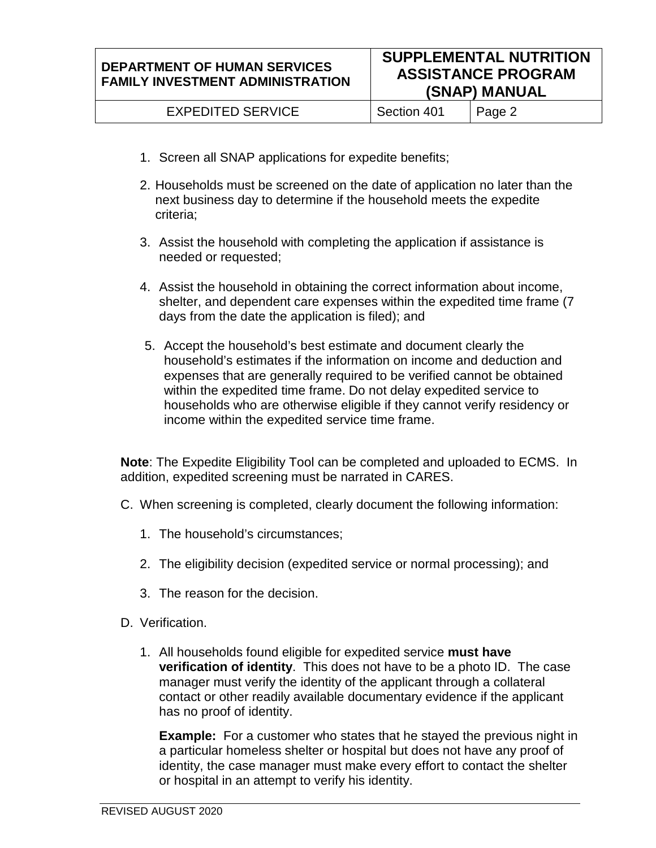Section 401 | Page 2

- 1. Screen all SNAP applications for expedite benefits;
- 2. Households must be screened on the date of application no later than the next business day to determine if the household meets the expedite criteria;
- 3. Assist the household with completing the application if assistance is needed or requested;
- 4. Assist the household in obtaining the correct information about income, shelter, and dependent care expenses within the expedited time frame (7 days from the date the application is filed); and
- 5. Accept the household's best estimate and document clearly the household's estimates if the information on income and deduction and expenses that are generally required to be verified cannot be obtained within the expedited time frame. Do not delay expedited service to households who are otherwise eligible if they cannot verify residency or income within the expedited service time frame.

**Note**: The Expedite Eligibility Tool can be completed and uploaded to ECMS. In addition, expedited screening must be narrated in CARES.

- C. When screening is completed, clearly document the following information:
	- 1. The household's circumstances;
	- 2. The eligibility decision (expedited service or normal processing); and
	- 3. The reason for the decision.
- D. Verification.
	- 1. All households found eligible for expedited service **must have verification of identity**. This does not have to be a photo ID. The case manager must verify the identity of the applicant through a collateral contact or other readily available documentary evidence if the applicant has no proof of identity.

**Example:** For a customer who states that he stayed the previous night in a particular homeless shelter or hospital but does not have any proof of identity, the case manager must make every effort to contact the shelter or hospital in an attempt to verify his identity.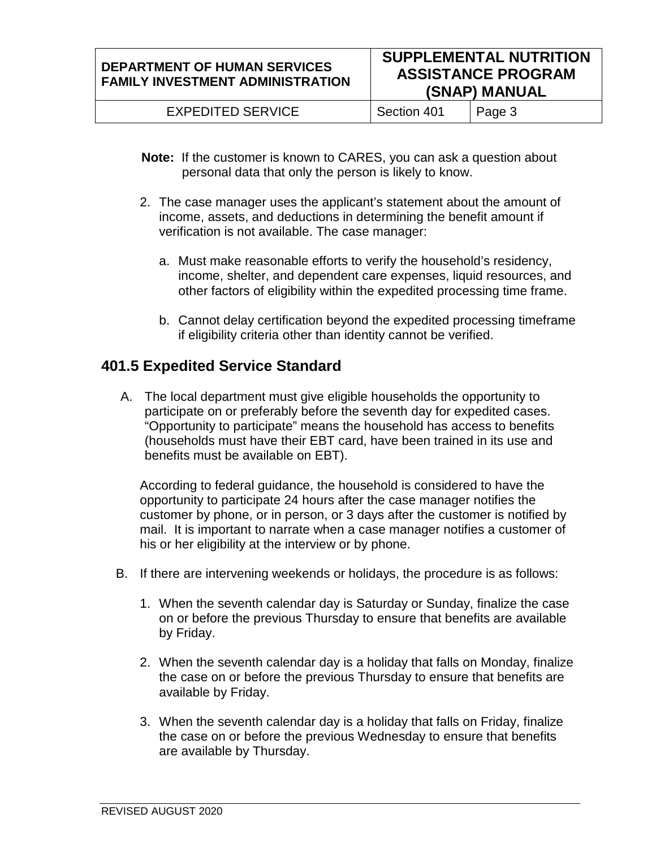EXPEDITED SERVICE | Section 401 | Page 3

- **Note:** If the customer is known to CARES, you can ask a question about personal data that only the person is likely to know.
- 2. The case manager uses the applicant's statement about the amount of income, assets, and deductions in determining the benefit amount if verification is not available. The case manager:
	- a. Must make reasonable efforts to verify the household's residency, income, shelter, and dependent care expenses, liquid resources, and other factors of eligibility within the expedited processing time frame.
	- b. Cannot delay certification beyond the expedited processing timeframe if eligibility criteria other than identity cannot be verified.

# **401.5 Expedited Service Standard**

A. The local department must give eligible households the opportunity to participate on or preferably before the seventh day for expedited cases. "Opportunity to participate" means the household has access to benefits (households must have their EBT card, have been trained in its use and benefits must be available on EBT).

According to federal guidance, the household is considered to have the opportunity to participate 24 hours after the case manager notifies the customer by phone, or in person, or 3 days after the customer is notified by mail. It is important to narrate when a case manager notifies a customer of his or her eligibility at the interview or by phone.

- B. If there are intervening weekends or holidays, the procedure is as follows:
	- 1. When the seventh calendar day is Saturday or Sunday, finalize the case on or before the previous Thursday to ensure that benefits are available by Friday.
	- 2. When the seventh calendar day is a holiday that falls on Monday, finalize the case on or before the previous Thursday to ensure that benefits are available by Friday.
	- 3. When the seventh calendar day is a holiday that falls on Friday, finalize the case on or before the previous Wednesday to ensure that benefits are available by Thursday.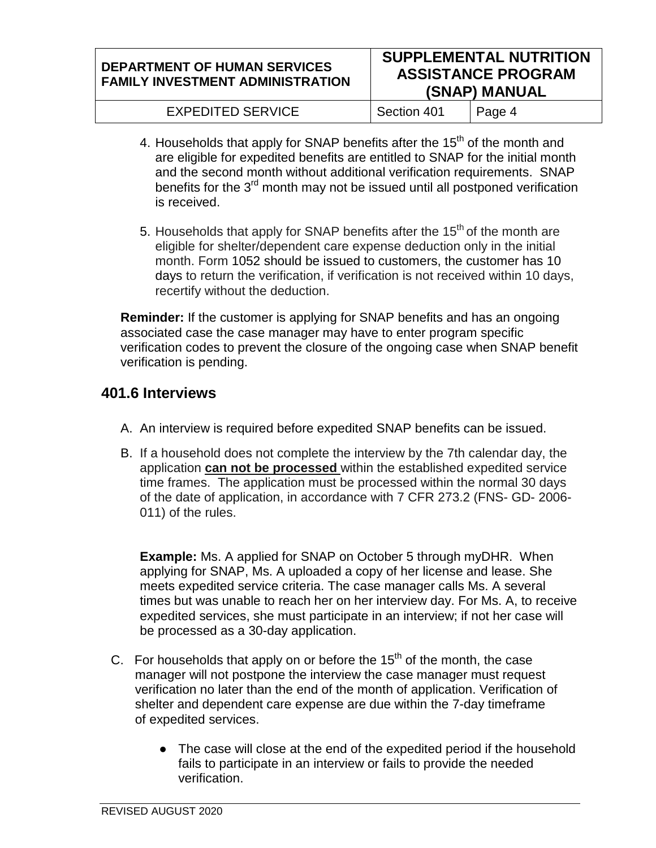#### **DEPARTMENT OF HUMAN SERVICES FAMILY INVESTMENT ADMINISTRATION SUPPLEMENTAL NUTRITION ASSISTANCE PROGRAM (SNAP) MANUAL** EXPEDITED SERVICE | Section 401 | Page 4

- 4. Households that apply for SNAP benefits after the  $15<sup>th</sup>$  of the month and are eligible for expedited benefits are entitled to SNAP for the initial month and the second month without additional verification requirements. SNAP benefits for the  $3<sup>rd</sup>$  month may not be issued until all postponed verification is received.
- 5. Households that apply for SNAP benefits after the  $15<sup>th</sup>$  of the month are eligible for shelter/dependent care expense deduction only in the initial month. Form 1052 should be issued to customers, the customer has 10 days to return the verification, if verification is not received within 10 days, recertify without the deduction.

**Reminder:** If the customer is applying for SNAP benefits and has an ongoing associated case the case manager may have to enter program specific verification codes to prevent the closure of the ongoing case when SNAP benefit verification is pending.

# **401.6 Interviews**

- A. An interview is required before expedited SNAP benefits can be issued.
- B. If a household does not complete the interview by the 7th calendar day, the application **can not be processed** within the established expedited service time frames. The application must be processed within the normal 30 days of the date of application, in accordance with 7 CFR 273.2 (FNS- GD- 2006- 011) of the rules.

**Example:** Ms. A applied for SNAP on October 5 through myDHR. When applying for SNAP, Ms. A uploaded a copy of her license and lease. She meets expedited service criteria. The case manager calls Ms. A several times but was unable to reach her on her interview day. For Ms. A, to receive expedited services, she must participate in an interview; if not her case will be processed as a 30-day application.

- C. For households that apply on or before the  $15<sup>th</sup>$  of the month, the case manager will not postpone the interview the case manager must request verification no later than the end of the month of application. Verification of shelter and dependent care expense are due within the 7-day timeframe of expedited services.
	- The case will close at the end of the expedited period if the household fails to participate in an interview or fails to provide the needed verification.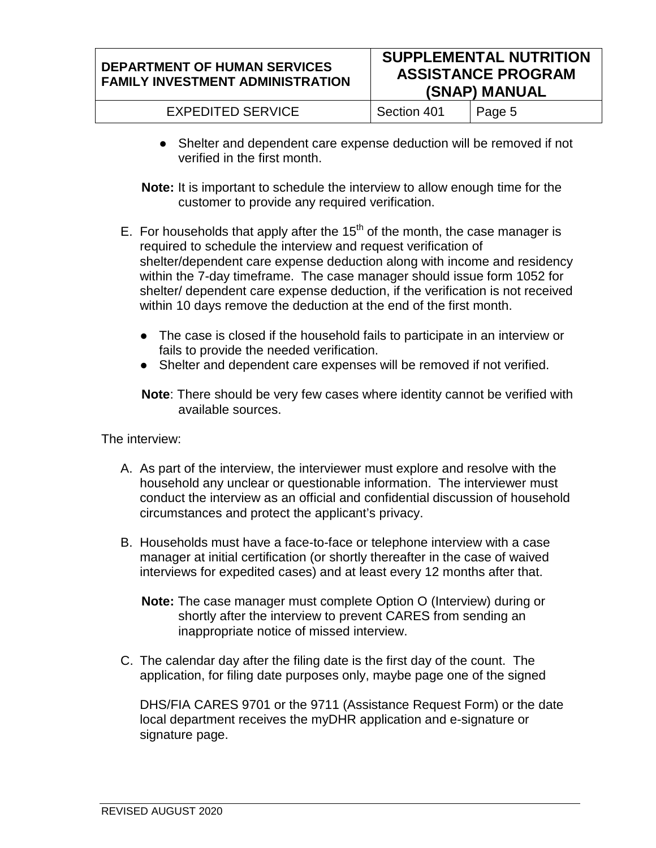| <b>EXPEDITED SERVICE</b> | Section 401 | $\vert$ Page 5 |
|--------------------------|-------------|----------------|
|--------------------------|-------------|----------------|

- Shelter and dependent care expense deduction will be removed if not verified in the first month.
- **Note:** It is important to schedule the interview to allow enough time for the customer to provide any required verification.
- E. For households that apply after the  $15<sup>th</sup>$  of the month, the case manager is required to schedule the interview and request verification of shelter/dependent care expense deduction along with income and residency within the 7-day timeframe. The case manager should issue form 1052 for shelter/ dependent care expense deduction, if the verification is not received within 10 days remove the deduction at the end of the first month.
	- The case is closed if the household fails to participate in an interview or fails to provide the needed verification.
	- Shelter and dependent care expenses will be removed if not verified.
	- **Note**: There should be very few cases where identity cannot be verified with available sources.

The interview:

- A. As part of the interview, the interviewer must explore and resolve with the household any unclear or questionable information. The interviewer must conduct the interview as an official and confidential discussion of household circumstances and protect the applicant's privacy.
- B. Households must have a face-to-face or telephone interview with a case manager at initial certification (or shortly thereafter in the case of waived interviews for expedited cases) and at least every 12 months after that.
	- **Note:** The case manager must complete Option O (Interview) during or shortly after the interview to prevent CARES from sending an inappropriate notice of missed interview.
- C. The calendar day after the filing date is the first day of the count. The application, for filing date purposes only, maybe page one of the signed

DHS/FIA CARES 9701 or the 9711 (Assistance Request Form) or the date local department receives the myDHR application and e-signature or signature page.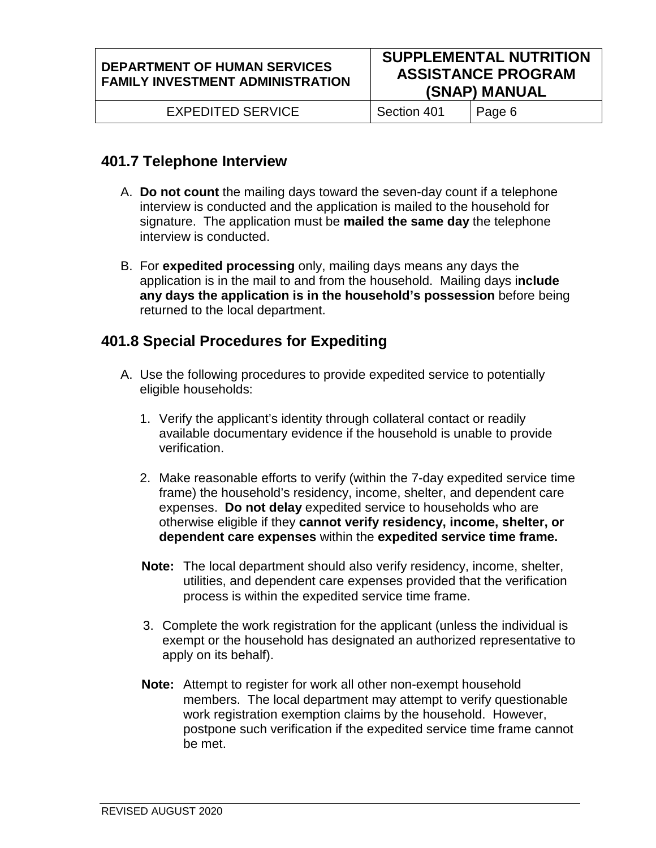EXPEDITED SERVICE | Section 401 | Page 6

# **401.7 Telephone Interview**

- A. **Do not count** the mailing days toward the seven-day count if a telephone interview is conducted and the application is mailed to the household for signature. The application must be **mailed the same day** the telephone interview is conducted.
- B. For **expedited processing** only, mailing days means any days the application is in the mail to and from the household. Mailing days i**nclude any days the application is in the household's possession** before being returned to the local department.

# **401.8 Special Procedures for Expediting**

- A. Use the following procedures to provide expedited service to potentially eligible households:
	- 1. Verify the applicant's identity through collateral contact or readily available documentary evidence if the household is unable to provide verification.
	- 2. Make reasonable efforts to verify (within the 7-day expedited service time frame) the household's residency, income, shelter, and dependent care expenses. **Do not delay** expedited service to households who are otherwise eligible if they **cannot verify residency, income, shelter, or dependent care expenses** within the **expedited service time frame.**
	- **Note:** The local department should also verify residency, income, shelter, utilities, and dependent care expenses provided that the verification process is within the expedited service time frame.
	- 3. Complete the work registration for the applicant (unless the individual is exempt or the household has designated an authorized representative to apply on its behalf).
	- **Note:** Attempt to register for work all other non-exempt household members. The local department may attempt to verify questionable work registration exemption claims by the household. However, postpone such verification if the expedited service time frame cannot be met.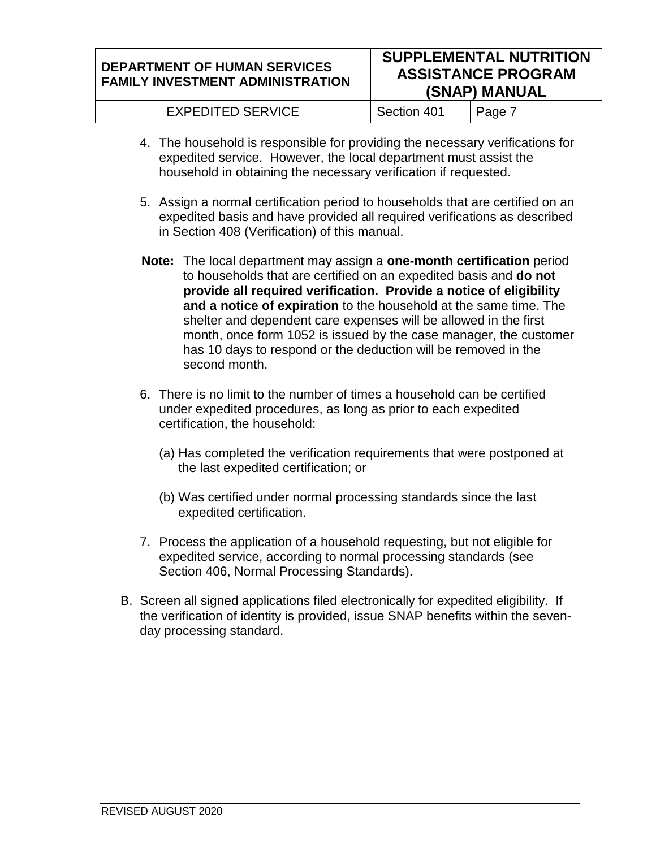#### **DEPARTMENT OF HUMAN SERVICES FAMILY INVESTMENT ADMINISTRATION SUPPLEMENTAL NUTRITION ASSISTANCE PROGRAM (SNAP) MANUAL**

| <b>EXPEDITED SERVICE</b> | Section 401 | $ $ Page $\overline{\phantom{a}}$ |
|--------------------------|-------------|-----------------------------------|
|--------------------------|-------------|-----------------------------------|

- 4. The household is responsible for providing the necessary verifications for expedited service. However, the local department must assist the household in obtaining the necessary verification if requested.
- 5. Assign a normal certification period to households that are certified on an expedited basis and have provided all required verifications as described in Section 408 (Verification) of this manual.
- **Note:** The local department may assign a **one-month certification** period to households that are certified on an expedited basis and **do not provide all required verification. Provide a notice of eligibility and a notice of expiration** to the household at the same time. The shelter and dependent care expenses will be allowed in the first month, once form 1052 is issued by the case manager, the customer has 10 days to respond or the deduction will be removed in the second month.
- 6. There is no limit to the number of times a household can be certified under expedited procedures, as long as prior to each expedited certification, the household:
	- (a) Has completed the verification requirements that were postponed at the last expedited certification; or
	- (b) Was certified under normal processing standards since the last expedited certification.
- 7. Process the application of a household requesting, but not eligible for expedited service, according to normal processing standards (see Section 406, Normal Processing Standards).
- B. Screen all signed applications filed electronically for expedited eligibility. If the verification of identity is provided, issue SNAP benefits within the sevenday processing standard.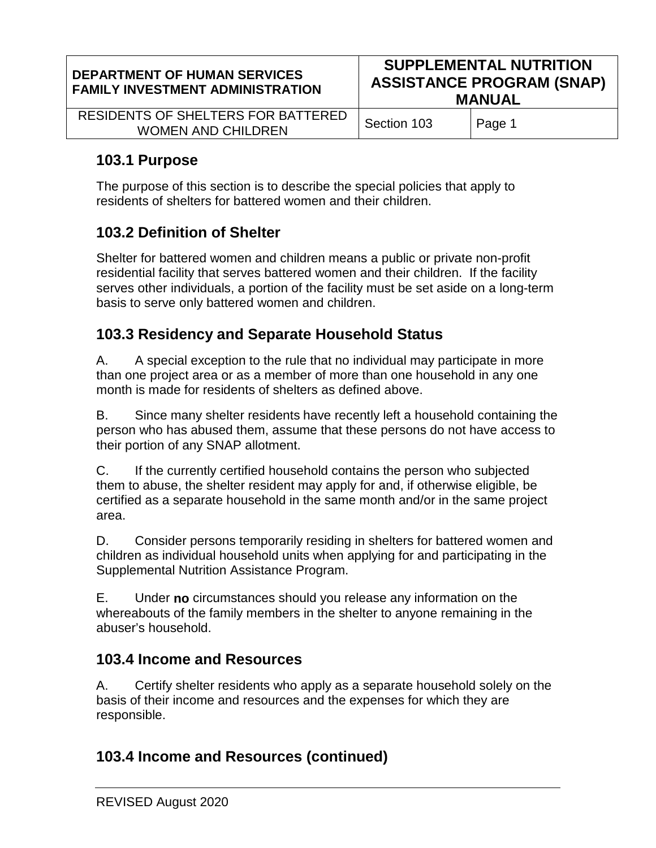| <b>DEPARTMENT OF HUMAN SERVICES</b><br><b>FAMILY INVESTMENT ADMINISTRATION</b> | <b>SUPPLEMENTAL NUTRITION</b><br><b>ASSISTANCE PROGRAM (SNAP)</b><br><b>MANUAL</b> |        |
|--------------------------------------------------------------------------------|------------------------------------------------------------------------------------|--------|
| RESIDENTS OF SHELTERS FOR BATTERED<br><b>WOMEN AND CHILDREN</b>                | Section 103                                                                        | Page 1 |
|                                                                                |                                                                                    |        |

# **103.1 Purpose**

The purpose of this section is to describe the special policies that apply to residents of shelters for battered women and their children.

# **103.2 Definition of Shelter**

Shelter for battered women and children means a public or private non-profit residential facility that serves battered women and their children. If the facility serves other individuals, a portion of the facility must be set aside on a long-term basis to serve only battered women and children.

# **103.3 Residency and Separate Household Status**

A. A special exception to the rule that no individual may participate in more than one project area or as a member of more than one household in any one month is made for residents of shelters as defined above.

B. Since many shelter residents have recently left a household containing the person who has abused them, assume that these persons do not have access to their portion of any SNAP allotment.

C. If the currently certified household contains the person who subjected them to abuse, the shelter resident may apply for and, if otherwise eligible, be certified as a separate household in the same month and/or in the same project area.

D. Consider persons temporarily residing in shelters for battered women and children as individual household units when applying for and participating in the Supplemental Nutrition Assistance Program.

E. Under **no** circumstances should you release any information on the whereabouts of the family members in the shelter to anyone remaining in the abuser's household.

# **103.4 Income and Resources**

A. Certify shelter residents who apply as a separate household solely on the basis of their income and resources and the expenses for which they are responsible.

# **103.4 Income and Resources (continued)**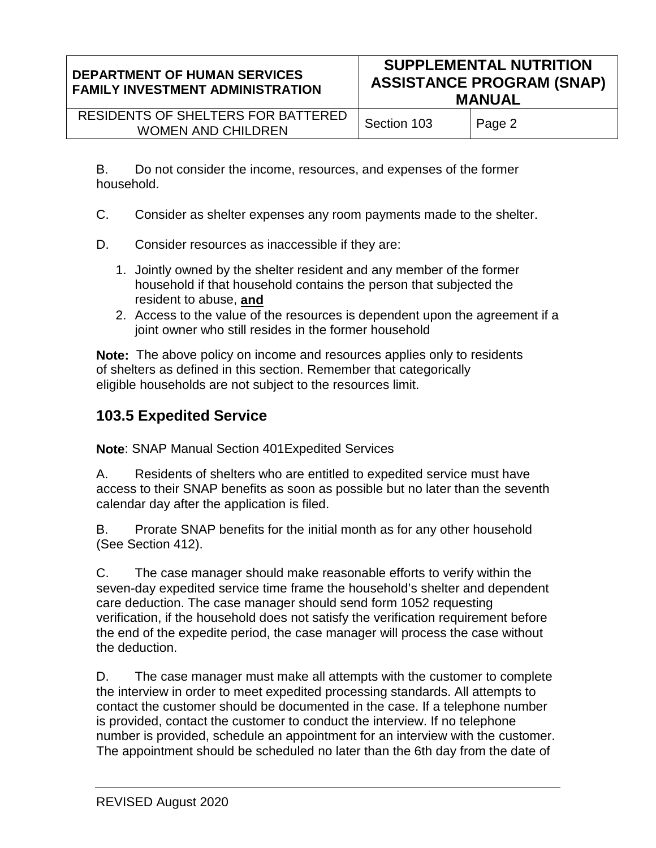| <b>DEPARTMENT OF HUMAN SERVICES</b><br><b>FAMILY INVESTMENT ADMINISTRATION</b> | <b>SUPPLEMENTAL NUTRITION</b><br><b>ASSISTANCE PROGRAM (SNAP)</b><br><b>MANUAL</b> |        |
|--------------------------------------------------------------------------------|------------------------------------------------------------------------------------|--------|
| RESIDENTS OF SHELTERS FOR BATTERED<br><b>WOMEN AND CHILDREN</b>                | Section 103                                                                        | Page 2 |

B. Do not consider the income, resources, and expenses of the former household.

- C. Consider as shelter expenses any room payments made to the shelter.
- D. Consider resources as inaccessible if they are:
	- 1. Jointly owned by the shelter resident and any member of the former household if that household contains the person that subjected the resident to abuse, **and**
	- 2. Access to the value of the resources is dependent upon the agreement if a joint owner who still resides in the former household

**Note:** The above policy on income and resources applies only to residents of shelters as defined in this section. Remember that categorically eligible households are not subject to the resources limit.

# **103.5 Expedited Service**

**Note**: SNAP Manual Section 401Expedited Services

A. Residents of shelters who are entitled to expedited service must have access to their SNAP benefits as soon as possible but no later than the seventh calendar day after the application is filed.

B. Prorate SNAP benefits for the initial month as for any other household (See Section 412).

C. The case manager should make reasonable efforts to verify within the seven-day expedited service time frame the household's shelter and dependent care deduction. The case manager should send form 1052 requesting verification, if the household does not satisfy the verification requirement before the end of the expedite period, the case manager will process the case without the deduction.

D. The case manager must make all attempts with the customer to complete the interview in order to meet expedited processing standards. All attempts to contact the customer should be documented in the case. If a telephone number is provided, contact the customer to conduct the interview. If no telephone number is provided, schedule an appointment for an interview with the customer. The appointment should be scheduled no later than the 6th day from the date of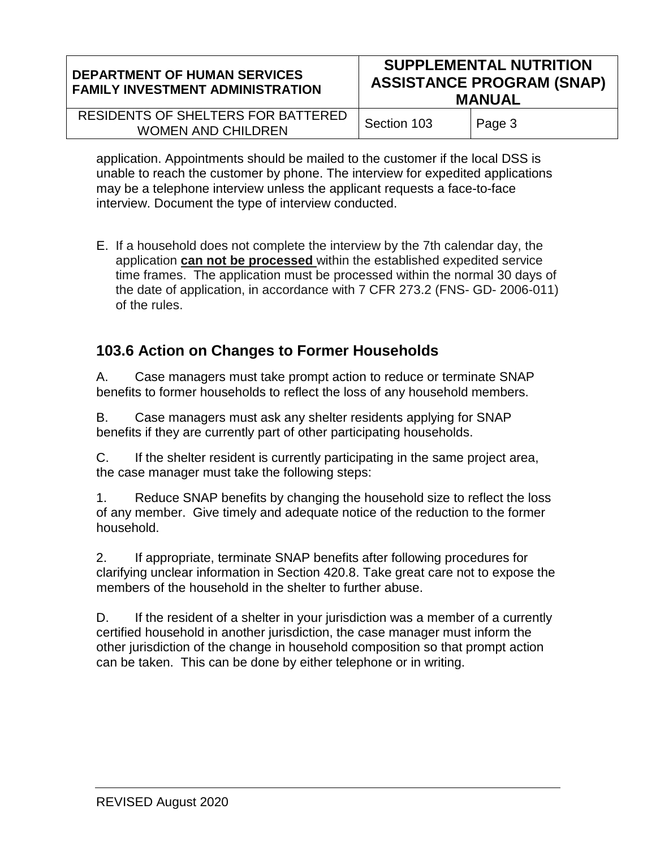| <b>DEPARTMENT OF HUMAN SERVICES</b><br><b>FAMILY INVESTMENT ADMINISTRATION</b> | <b>SUPPLEMENTAL NUTRITION</b><br><b>ASSISTANCE PROGRAM (SNAP)</b><br><b>MANUAL</b> |        |
|--------------------------------------------------------------------------------|------------------------------------------------------------------------------------|--------|
| RESIDENTS OF SHELTERS FOR BATTERED<br><b>WOMEN AND CHILDREN</b>                | Section 103                                                                        | Page 3 |

application. Appointments should be mailed to the customer if the local DSS is unable to reach the customer by phone. The interview for expedited applications may be a telephone interview unless the applicant requests a face-to-face interview. Document the type of interview conducted.

E. If a household does not complete the interview by the 7th calendar day, the application **can not be processed** within the established expedited service time frames. The application must be processed within the normal 30 days of the date of application, in accordance with 7 CFR 273.2 (FNS- GD- 2006-011) of the rules.

# **103.6 Action on Changes to Former Households**

A. Case managers must take prompt action to reduce or terminate SNAP benefits to former households to reflect the loss of any household members.

B. Case managers must ask any shelter residents applying for SNAP benefits if they are currently part of other participating households.

C. If the shelter resident is currently participating in the same project area, the case manager must take the following steps:

1. Reduce SNAP benefits by changing the household size to reflect the loss of any member. Give timely and adequate notice of the reduction to the former household.

2. If appropriate, terminate SNAP benefits after following procedures for clarifying unclear information in Section 420.8. Take great care not to expose the members of the household in the shelter to further abuse.

D. If the resident of a shelter in your jurisdiction was a member of a currently certified household in another jurisdiction, the case manager must inform the other jurisdiction of the change in household composition so that prompt action can be taken. This can be done by either telephone or in writing.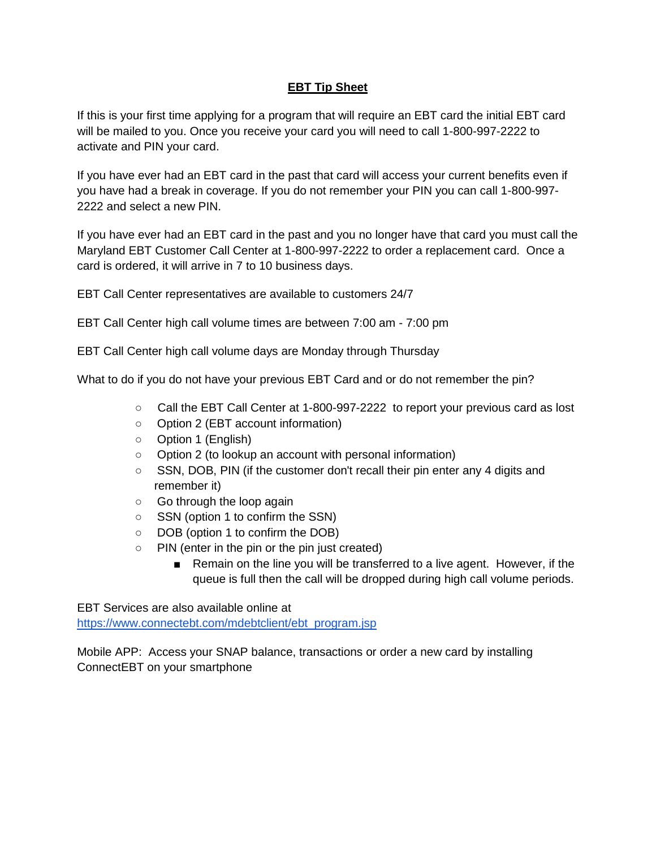## **EBT Tip Sheet**

If this is your first time applying for a program that will require an EBT card the initial EBT card will be mailed to you. Once you receive your card you will need to call 1-800-997-2222 to activate and PIN your card.

If you have ever had an EBT card in the past that card will access your current benefits even if you have had a break in coverage. If you do not remember your PIN you can call 1-800-997- 2222 and select a new PIN.

If you have ever had an EBT card in the past and you no longer have that card you must call the Maryland EBT Customer Call Center at 1-800-997-2222 to order a replacement card. Once a card is ordered, it will arrive in 7 to 10 business days.

EBT Call Center representatives are available to customers 24/7

EBT Call Center high call volume times are between 7:00 am - 7:00 pm

EBT Call Center high call volume days are Monday through Thursday

What to do if you do not have your previous EBT Card and or do not remember the pin?

- Call the EBT Call Center at 1-800-997-2222 to report your previous card as lost
- Option 2 (EBT account information)
- Option 1 (English)
- Option 2 (to lookup an account with personal information)
- SSN, DOB, PIN (if the customer don't recall their pin enter any 4 digits and remember it)
- Go through the loop again
- SSN (option 1 to confirm the SSN)
- DOB (option 1 to confirm the DOB)
- PIN (enter in the pin or the pin just created)
	- Remain on the line you will be transferred to a live agent. However, if the queue is full then the call will be dropped during high call volume periods.

EBT Services are also available online at

[https://www.connectebt.com/mdebtclient/ebt\\_program.jsp](https://www.connectebt.com/mdebtclient/ebt_program.jsp)

Mobile APP: Access your SNAP balance, transactions or order a new card by installing ConnectEBT on your smartphone